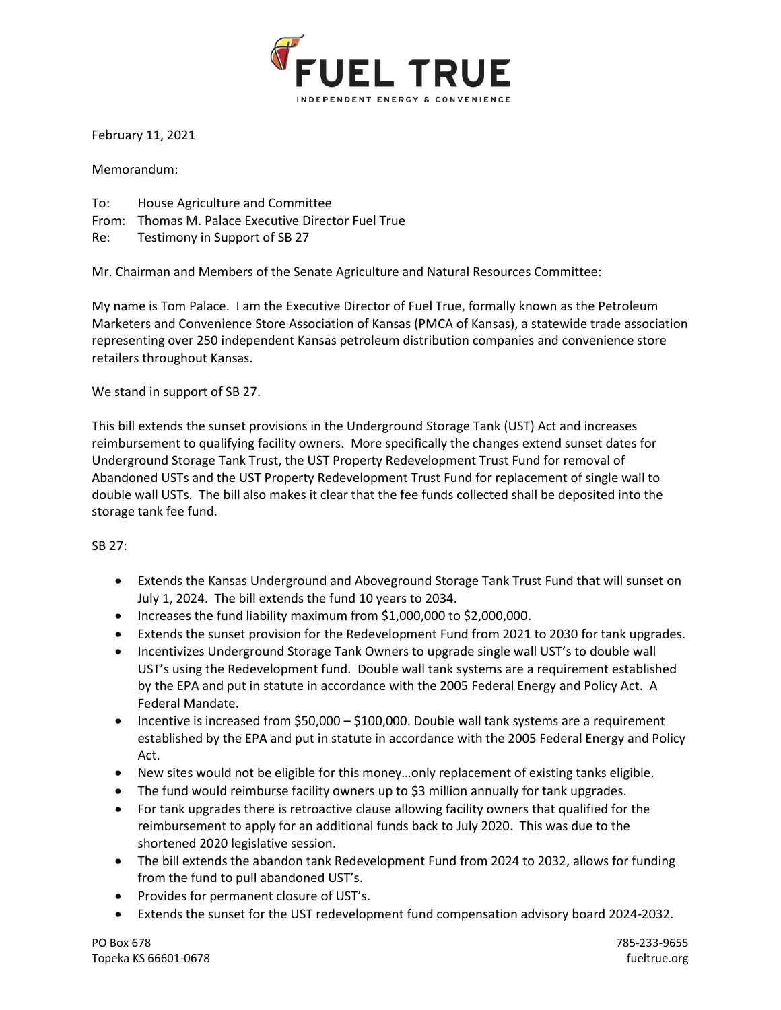

February 11, 2021

Memorandum:

- To: House Agriculture and Committee
- From: Thomas M. Palace Executive Director Fuel True
- Re: Testimony in Support of SB 27

Mr. Chairman and Members of the Senate Agriculture and Natural Resources Committee:

My name is Tom Palace. I am the Executive Director of Fuel True, formally known as the Petroleum Marketers and Convenience Store Association of Kansas (PMCA of Kansas), a statewide trade association representing over 250 independent Kansas petroleum distribution companies and convenience store retailers throughout Kansas.

We stand in support of SB 27.

This bill extends the sunset provisions in the Underground Storage Tank (UST) Act and increases reimbursement to qualifying facility owners. More specifically the changes extend sunset dates for Underground Storage Tank Trust, the UST Property Redevelopment Trust Fund for removal of Abandoned USTs and the UST Property Redevelopment Trust Fund for replacement of single wall to double wall USTs. The bill also makes it clear that the fee funds collected shall be deposited into the storage tank fee fund.

## SB 27:

- Extends the Kansas Underground and Aboveground Storage Tank Trust Fund that will sunset on July 1, 2024. The bill extends the fund 10 years to 2034.
- Increases the fund liability maximum from \$1,000,000 to \$2,000,000.
- Extends the sunset provision for the Redevelopment Fund from 2021 to 2030 for tank upgrades.
- Incentivizes Underground Storage Tank Owners to upgrade single wall UST's to double wall UST's using the Redevelopment fund. Double wall tank systems are a requirement established by the EPA and put in statute in accordance with the 2005 Federal Energy and Policy Act. A Federal Mandate.
- Incentive is increased from \$50,000 \$100,000. Double wall tank systems are a requirement established by the EPA and put in statute in accordance with the 2005 Federal Energy and Policy Act.
- New sites would not be eligible for this money…only replacement of existing tanks eligible.
- The fund would reimburse facility owners up to \$3 million annually for tank upgrades.
- For tank upgrades there is retroactive clause allowing facility owners that qualified for the reimbursement to apply for an additional funds back to July 2020. This was due to the shortened 2020 legislative session.
- The bill extends the abandon tank Redevelopment Fund from 2024 to 2032, allows for funding from the fund to pull abandoned UST's.
- Provides for permanent closure of UST's.
- Extends the sunset for the UST redevelopment fund compensation advisory board 2024-2032.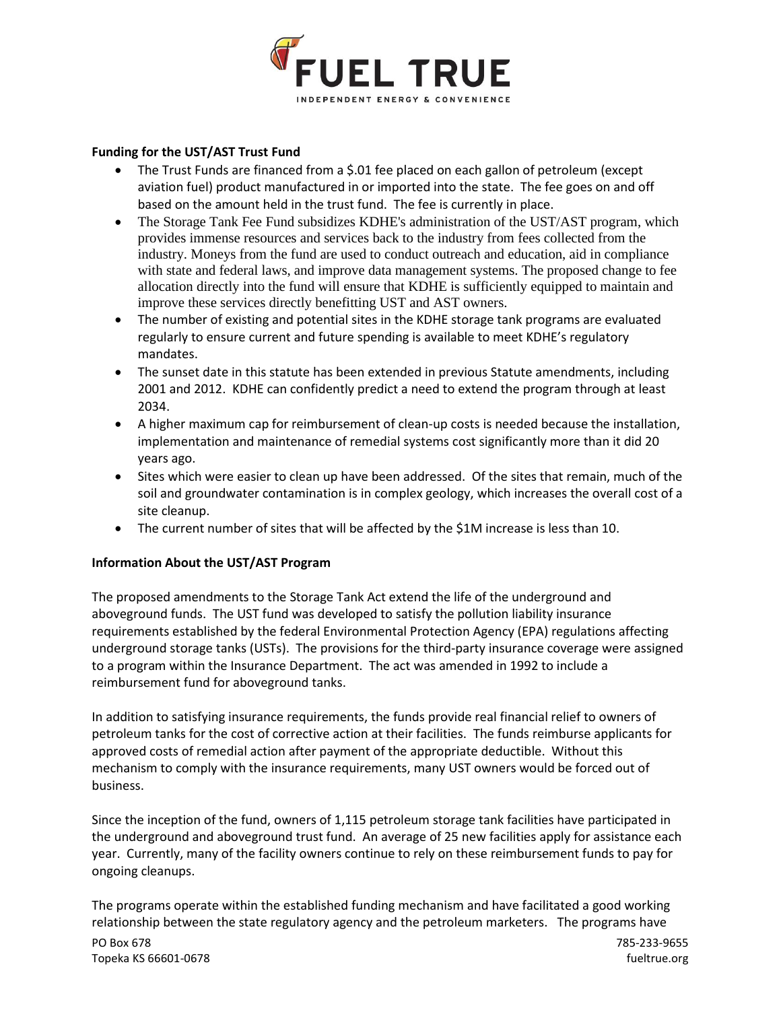

## **Funding for the UST/AST Trust Fund**

- The Trust Funds are financed from a \$.01 fee placed on each gallon of petroleum (except aviation fuel) product manufactured in or imported into the state. The fee goes on and off based on the amount held in the trust fund. The fee is currently in place.
- The Storage Tank Fee Fund subsidizes KDHE's administration of the UST/AST program, which provides immense resources and services back to the industry from fees collected from the industry. Moneys from the fund are used to conduct outreach and education, aid in compliance with state and federal laws, and improve data management systems. The proposed change to fee allocation directly into the fund will ensure that KDHE is sufficiently equipped to maintain and improve these services directly benefitting UST and AST owners.
- The number of existing and potential sites in the KDHE storage tank programs are evaluated regularly to ensure current and future spending is available to meet KDHE's regulatory mandates.
- The sunset date in this statute has been extended in previous Statute amendments, including 2001 and 2012. KDHE can confidently predict a need to extend the program through at least 2034.
- A higher maximum cap for reimbursement of clean-up costs is needed because the installation, implementation and maintenance of remedial systems cost significantly more than it did 20 years ago.
- Sites which were easier to clean up have been addressed. Of the sites that remain, much of the soil and groundwater contamination is in complex geology, which increases the overall cost of a site cleanup.
- The current number of sites that will be affected by the \$1M increase is less than 10.

## **Information About the UST/AST Program**

The proposed amendments to the Storage Tank Act extend the life of the underground and aboveground funds. The UST fund was developed to satisfy the pollution liability insurance requirements established by the federal Environmental Protection Agency (EPA) regulations affecting underground storage tanks (USTs). The provisions for the third-party insurance coverage were assigned to a program within the Insurance Department. The act was amended in 1992 to include a reimbursement fund for aboveground tanks.

In addition to satisfying insurance requirements, the funds provide real financial relief to owners of petroleum tanks for the cost of corrective action at their facilities. The funds reimburse applicants for approved costs of remedial action after payment of the appropriate deductible. Without this mechanism to comply with the insurance requirements, many UST owners would be forced out of business.

Since the inception of the fund, owners of 1,115 petroleum storage tank facilities have participated in the underground and aboveground trust fund. An average of 25 new facilities apply for assistance each year. Currently, many of the facility owners continue to rely on these reimbursement funds to pay for ongoing cleanups.

PO Box 678 785-233-9655 The programs operate within the established funding mechanism and have facilitated a good working relationship between the state regulatory agency and the petroleum marketers. The programs have